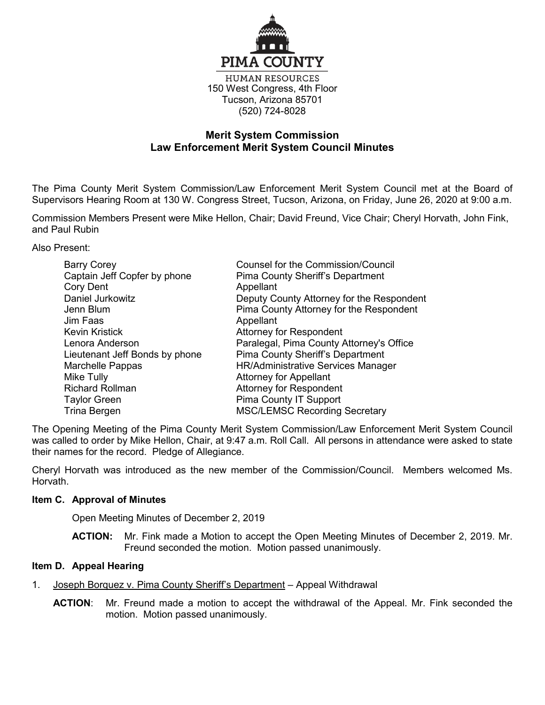

150 West Congress, 4th Floor Tucson, Arizona 85701 (520) 724-8028

# **Merit System Commission Law Enforcement Merit System Council Minutes**

The Pima County Merit System Commission/Law Enforcement Merit System Council met at the Board of Supervisors Hearing Room at 130 W. Congress Street, Tucson, Arizona, on Friday, June 26, 2020 at 9:00 a.m.

Commission Members Present were Mike Hellon, Chair; David Freund, Vice Chair; Cheryl Horvath, John Fink, and Paul Rubin

Also Present:

| <b>Barry Corey</b><br>Captain Jeff Copfer by phone | <b>Counsel for the Commission/Council</b><br><b>Pima County Sheriff's Department</b> |
|----------------------------------------------------|--------------------------------------------------------------------------------------|
| <b>Cory Dent</b>                                   | Appellant                                                                            |
| Daniel Jurkowitz                                   | Deputy County Attorney for the Respondent                                            |
| Jenn Blum                                          | Pima County Attorney for the Respondent                                              |
| Jim Faas                                           | Appellant                                                                            |
| <b>Kevin Kristick</b>                              | <b>Attorney for Respondent</b>                                                       |
| Lenora Anderson                                    | Paralegal, Pima County Attorney's Office                                             |
| Lieutenant Jeff Bonds by phone                     | <b>Pima County Sheriff's Department</b>                                              |
| Marchelle Pappas                                   | <b>HR/Administrative Services Manager</b>                                            |
| Mike Tully                                         | <b>Attorney for Appellant</b>                                                        |
| <b>Richard Rollman</b>                             | <b>Attorney for Respondent</b>                                                       |
| <b>Taylor Green</b>                                | Pima County IT Support                                                               |
| Trina Bergen                                       | <b>MSC/LEMSC Recording Secretary</b>                                                 |

The Opening Meeting of the Pima County Merit System Commission/Law Enforcement Merit System Council was called to order by Mike Hellon, Chair, at 9:47 a.m. Roll Call. All persons in attendance were asked to state their names for the record. Pledge of Allegiance.

Cheryl Horvath was introduced as the new member of the Commission/Council. Members welcomed Ms. Horvath.

# **Item C. Approval of Minutes**

Open Meeting Minutes of December 2, 2019

**ACTION:** Mr. Fink made a Motion to accept the Open Meeting Minutes of December 2, 2019. Mr. Freund seconded the motion. Motion passed unanimously.

# **Item D. Appeal Hearing**

- 1. Joseph Borquez v. Pima County Sheriff's Department Appeal Withdrawal
	- **ACTION**: Mr. Freund made a motion to accept the withdrawal of the Appeal. Mr. Fink seconded the motion. Motion passed unanimously.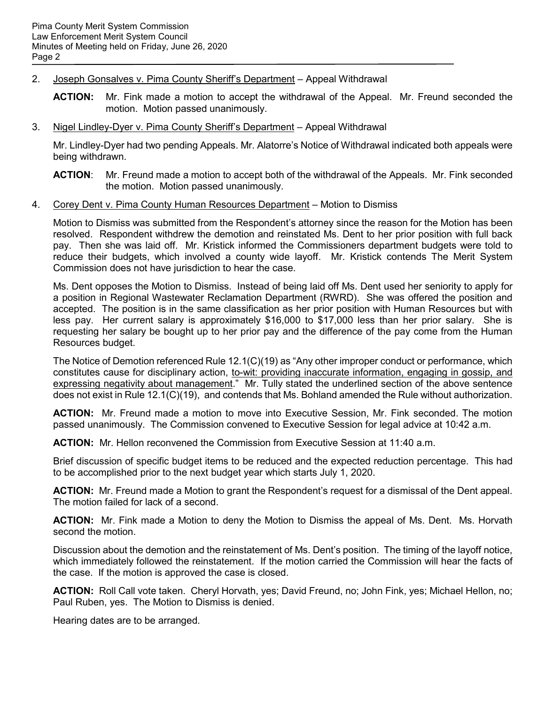## 2. Joseph Gonsalves v. Pima County Sheriff's Department – Appeal Withdrawal

- **ACTION:** Mr. Fink made a motion to accept the withdrawal of the Appeal. Mr. Freund seconded the motion. Motion passed unanimously.
- 3. Nigel Lindley-Dyer v. Pima County Sheriff's Department Appeal Withdrawal

Mr. Lindley-Dyer had two pending Appeals. Mr. Alatorre's Notice of Withdrawal indicated both appeals were being withdrawn.

- **ACTION**: Mr. Freund made a motion to accept both of the withdrawal of the Appeals. Mr. Fink seconded the motion. Motion passed unanimously.
- 4. Corey Dent v. Pima County Human Resources Department Motion to Dismiss

Motion to Dismiss was submitted from the Respondent's attorney since the reason for the Motion has been resolved. Respondent withdrew the demotion and reinstated Ms. Dent to her prior position with full back pay. Then she was laid off. Mr. Kristick informed the Commissioners department budgets were told to reduce their budgets, which involved a county wide layoff. Mr. Kristick contends The Merit System Commission does not have jurisdiction to hear the case.

Ms. Dent opposes the Motion to Dismiss. Instead of being laid off Ms. Dent used her seniority to apply for a position in Regional Wastewater Reclamation Department (RWRD). She was offered the position and accepted. The position is in the same classification as her prior position with Human Resources but with less pay. Her current salary is approximately \$16,000 to \$17,000 less than her prior salary. She is requesting her salary be bought up to her prior pay and the difference of the pay come from the Human Resources budget.

The Notice of Demotion referenced Rule 12.1(C)(19) as "Any other improper conduct or performance, which constitutes cause for disciplinary action, to-wit: providing inaccurate information, engaging in gossip, and expressing negativity about management." Mr. Tully stated the underlined section of the above sentence does not exist in Rule 12.1(C)(19), and contends that Ms. Bohland amended the Rule without authorization.

**ACTION:** Mr. Freund made a motion to move into Executive Session, Mr. Fink seconded. The motion passed unanimously. The Commission convened to Executive Session for legal advice at 10:42 a.m.

**ACTION:** Mr. Hellon reconvened the Commission from Executive Session at 11:40 a.m.

Brief discussion of specific budget items to be reduced and the expected reduction percentage. This had to be accomplished prior to the next budget year which starts July 1, 2020.

**ACTION:** Mr. Freund made a Motion to grant the Respondent's request for a dismissal of the Dent appeal. The motion failed for lack of a second.

**ACTION:** Mr. Fink made a Motion to deny the Motion to Dismiss the appeal of Ms. Dent. Ms. Horvath second the motion.

Discussion about the demotion and the reinstatement of Ms. Dent's position. The timing of the layoff notice, which immediately followed the reinstatement. If the motion carried the Commission will hear the facts of the case. If the motion is approved the case is closed.

**ACTION:** Roll Call vote taken. Cheryl Horvath, yes; David Freund, no; John Fink, yes; Michael Hellon, no; Paul Ruben, yes. The Motion to Dismiss is denied.

Hearing dates are to be arranged.